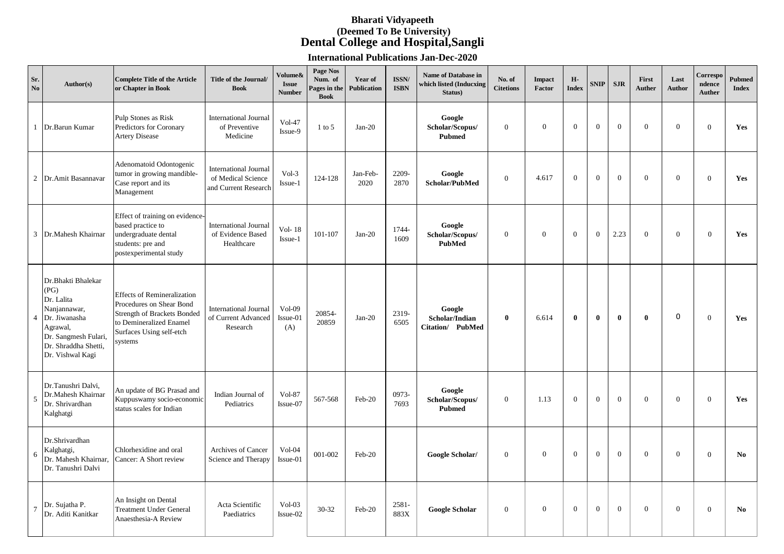## **Bharati Vidyapeeth (Deemed To Be University) Dental College and Hospital,Sangli**

**International Publications Jan-Dec-2020**

| Sr.<br>No      | Author(s)                                                                                                                                                 | <b>Complete Title of the Article</b><br>or Chapter in Book                                                                                                      | Title of the Journal/<br><b>Book</b>                                       | Volume&<br><b>Issue</b><br><b>Number</b> | Page Nos<br>Num. of<br>Pages in the<br><b>Book</b> | Year of<br><b>Publication</b> | ISSN/<br><b>ISBN</b> | Name of Database in<br>which listed (Inducxing<br>Status) | No. of<br><b>Citetions</b> | <b>Impact</b><br>Factor | н.<br><b>Index</b> | <b>SNIP</b>  | <b>SJR</b>     | First<br><b>Auther</b> | Last<br><b>Author</b> | Correspo<br>ndence<br><b>Auther</b> | <b>Pubmed</b><br><b>Index</b> |
|----------------|-----------------------------------------------------------------------------------------------------------------------------------------------------------|-----------------------------------------------------------------------------------------------------------------------------------------------------------------|----------------------------------------------------------------------------|------------------------------------------|----------------------------------------------------|-------------------------------|----------------------|-----------------------------------------------------------|----------------------------|-------------------------|--------------------|--------------|----------------|------------------------|-----------------------|-------------------------------------|-------------------------------|
|                | 1 Dr.Barun Kumar                                                                                                                                          | Pulp Stones as Risk<br>Predictors for Coronary<br><b>Artery Disease</b>                                                                                         | <b>International Journal</b><br>of Preventive<br>Medicine                  | $Vol-47$<br>Issue-9                      | $1$ to $5$                                         | $Jan-20$                      |                      | Google<br>Scholar/Scopus/<br><b>Pubmed</b>                | $\mathbf{0}$               | $\mathbf{0}$            | $\theta$           | $\Omega$     | $\theta$       | $\Omega$               | $\mathbf{0}$          | $\theta$                            | Yes                           |
|                | 2 Dr.Amit Basannavar                                                                                                                                      | Adenomatoid Odontogenic<br>tumor in growing mandible-<br>Case report and its<br>Management                                                                      | <b>International Journal</b><br>of Medical Science<br>and Current Research | $Vol-3$<br>Issue-1                       | 124-128                                            | Jan-Feb-<br>2020              | 2209-<br>2870        | Google<br>Scholar/PubMed                                  | $\mathbf{0}$               | 4.617                   | $\overline{0}$     | $\Omega$     | $\overline{0}$ | $\Omega$               | $\overline{0}$        | $\theta$                            | Yes                           |
|                | 3 Dr.Mahesh Khairnar                                                                                                                                      | Effect of training on evidence-<br>based practice to<br>undergraduate dental<br>students: pre and<br>postexperimental study                                     | <b>International Journal</b><br>of Evidence Based<br>Healthcare            | Vol-18<br>Issue-1                        | 101-107                                            | $\rm Jan\text{-}20$           | 1744-<br>1609        | Google<br>Scholar/Scopus/<br><b>PubMed</b>                | $\overline{0}$             | $\Omega$                | $\mathbf{0}$       | $\mathbf{0}$ | 2.23           | $\Omega$               | $\mathbf{0}$          | $\overline{0}$                      | Yes                           |
| 4              | Dr.Bhakti Bhalekar<br>(PG)<br>Dr. Lalita<br>Nanjannawar,<br>Dr. Jiwanasha<br>Agrawal,<br>Dr. Sangmesh Fulari,<br>Dr. Shraddha Shetti,<br>Dr. Vishwal Kagi | <b>Effects of Remineralization</b><br>Procedures on Shear Bond<br>Strength of Brackets Bonded<br>to Demineralized Enamel<br>Surfaces Using self-etch<br>systems | <b>International Journal</b><br>of Current Advanced<br>Research            | $Vol-09$<br>Issue-01<br>(A)              | 20854-<br>20859                                    | $Jan-20$                      | 2319-<br>6505        | Google<br>Scholar/Indian<br>Citation/ PubMed              | $\bf{0}$                   | 6.614                   | $\bf{0}$           | $\bf{0}$     | $\mathbf{0}$   | $\mathbf{0}$           | $\mathbf 0$           | $\Omega$                            | Yes                           |
| $\overline{5}$ | Dr.Tanushri Dalvi,<br>Dr.Mahesh Khairnar<br>Dr. Shrivardhan<br>Kalghatgi                                                                                  | An update of BG Prasad and<br>Kuppuswamy socio-economic<br>status scales for Indian                                                                             | Indian Journal of<br>Pediatrics                                            | Vol-87<br>Issue-07                       | 567-568                                            | Feb-20                        | 0973-<br>7693        | Google<br>Scholar/Scopus/<br><b>Pubmed</b>                | $\overline{0}$             | 1.13                    | $\overline{0}$     | $\Omega$     | $\Omega$       | $\Omega$               | $\overline{0}$        | $\Omega$                            | Yes                           |
| 6              | Dr.Shrivardhan<br>Kalghatgi,<br>Dr. Mahesh Khairnar,<br>Dr. Tanushri Dalvi                                                                                | Chlorhexidine and oral<br>Cancer: A Short review                                                                                                                | Archives of Cancer<br>Science and Therapy                                  | Vol-04<br>Issue-01                       | 001-002                                            | Feb-20                        |                      | Google Scholar/                                           | $\overline{0}$             | $\theta$                | $\overline{0}$     | $\mathbf{0}$ | $\overline{0}$ | $\Omega$               | $\overline{0}$        | $\theta$                            | N <sub>0</sub>                |
| $\overline{7}$ | Dr. Sujatha P.<br>Dr. Aditi Kanitkar                                                                                                                      | An Insight on Dental<br><b>Treatment Under General</b><br>Anaesthesia-A Review                                                                                  | Acta Scientific<br>Paediatrics                                             | $Vol-03$<br>Issue-02                     | 30-32                                              | Feb-20                        | 2581-<br>883X        | <b>Google Scholar</b>                                     | $\mathbf{0}$               | $\mathbf{0}$            | $\mathbf{0}$       | $\mathbf{0}$ | $\overline{0}$ | $\overline{0}$         | $\mathbf{0}$          | $\Omega$                            | No.                           |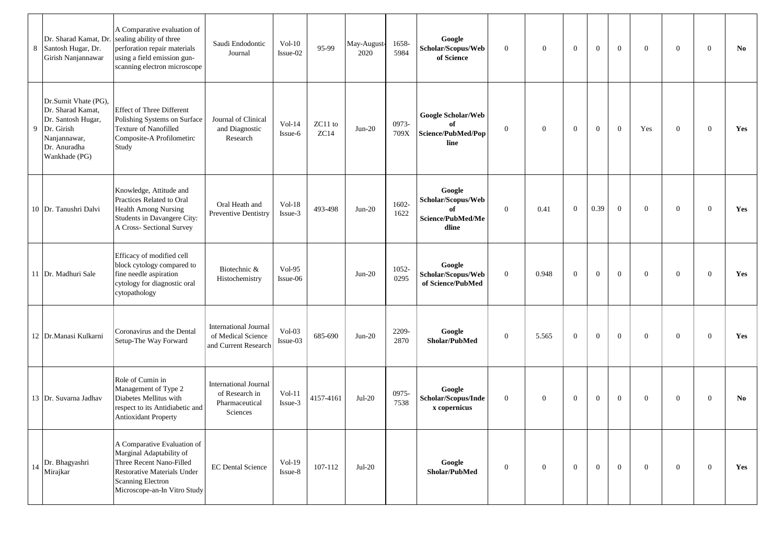| 8  | Dr. Sharad Kamat, Dr.<br>Santosh Hugar, Dr.<br>Girish Nanjannawar                                                              | A Comparative evaluation of<br>sealing ability of three<br>perforation repair materials<br>using a field emission gun-<br>scanning electron microscope                         | Saudi Endodontic<br>Journal                                                  | $Vol-10$<br>Issue-02 | 95-99           | May-August-<br>2020 | 1658-<br>5984 | Google<br>Scholar/Scopus/Web<br>of Science                       | $\overline{0}$ | $\mathbf{0}$   | $\mathbf{0}$   | $\mathbf{0}$   | $\overline{0}$ | $\theta$       | $\mathbf{0}$   | $\overline{0}$ | No  |
|----|--------------------------------------------------------------------------------------------------------------------------------|--------------------------------------------------------------------------------------------------------------------------------------------------------------------------------|------------------------------------------------------------------------------|----------------------|-----------------|---------------------|---------------|------------------------------------------------------------------|----------------|----------------|----------------|----------------|----------------|----------------|----------------|----------------|-----|
| 9  | Dr.Sumit Vhate (PG),<br>Dr. Sharad Kamat,<br>Dr. Santosh Hugar,<br>Dr. Girish<br>Nanjannawar,<br>Dr. Anuradha<br>Wankhade (PG) | <b>Effect of Three Different</b><br>Polishing Systems on Surface<br><b>Texture of Nanofilled</b><br>Composite-A Profilometirc<br>Study                                         | Journal of Clinical<br>and Diagnostic<br>Research                            | $Vol-14$<br>Issue-6  | ZC11 to<br>ZC14 | $Jun-20$            | 0973-<br>709X | Google Scholar/Web<br>of<br>Science/PubMed/Pop<br>line           | $\mathbf{0}$   | $\mathbf{0}$   | $\mathbf{0}$   | $\mathbf{0}$   | $\mathbf{0}$   | Yes            | $\mathbf{0}$   | $\overline{0}$ | Yes |
|    | 10 Dr. Tanushri Dalvi                                                                                                          | Knowledge, Attitude and<br>Practices Related to Oral<br><b>Health Among Nursing</b><br>Students in Davangere City:<br>A Cross- Sectional Survey                                | Oral Heath and<br><b>Preventive Dentistry</b>                                | $Vol-18$<br>Issue-3  | 493-498         | $Jun-20$            | 1602-<br>1622 | Google<br>Scholar/Scopus/Web<br>of<br>Science/PubMed/Me<br>dline | $\overline{0}$ | 0.41           | $\overline{0}$ | 0.39           | $\mathbf{0}$   | $\theta$       | $\overline{0}$ | $\overline{0}$ | Yes |
|    | 11 Dr. Madhuri Sale                                                                                                            | Efficacy of modified cell<br>block cytology compared to<br>fine needle aspiration<br>cytology for diagnostic oral<br>cytopathology                                             | Biotechnic &<br>Histochemistry                                               | $Vol-95$<br>Issue-06 |                 | $Jun-20$            | 1052-<br>0295 | Google<br>Scholar/Scopus/Web<br>of Science/PubMed                | $\mathbf{0}$   | 0.948          | $\mathbf{0}$   | $\mathbf{0}$   | $\mathbf{0}$   | $\theta$       | $\mathbf{0}$   | $\overline{0}$ | Yes |
|    | 12   Dr. Manasi Kulkarni                                                                                                       | Coronavirus and the Dental<br>Setup-The Way Forward                                                                                                                            | <b>International Journal</b><br>of Medical Science<br>and Current Research   | $Vol-03$<br>Issue-03 | 685-690         | $Jun-20$            | 2209-<br>2870 | Google<br>Sholar/PubMed                                          | $\overline{0}$ | 5.565          | $\mathbf{0}$   | $\mathbf{0}$   | $\overline{0}$ | $\overline{0}$ | $\mathbf{0}$   | $\overline{0}$ | Yes |
|    | 13 Dr. Suvarna Jadhav                                                                                                          | Role of Cumin in<br>Management of Type 2<br>Diabetes Mellitus with<br>respect to its Antidiabetic and<br><b>Antioxidant Property</b>                                           | <b>International Journal</b><br>of Research in<br>Pharmaceutical<br>Sciences | $Vol-11$<br>Issue-3  | 4157-4161       | $Jul-20$            | 0975-<br>7538 | Google<br>Scholar/Scopus/Inde<br>x copernicus                    | $\overline{0}$ | $\overline{0}$ | $\mathbf{0}$   | $\mathbf{0}$   | $\mathbf{0}$   | $\overline{0}$ | $\overline{0}$ | $\overline{0}$ | No  |
| 14 | Dr. Bhagyashri<br>Mirajkar                                                                                                     | A Comparative Evaluation of<br>Marginal Adaptability of<br>Three Recent Nano-Filled<br>Restorative Materials Under<br><b>Scanning Electron</b><br>Microscope-an-In Vitro Study | <b>EC Dental Science</b>                                                     | $Vol-19$<br>Issue-8  | 107-112         | $Jul-20$            |               | Google<br>Sholar/PubMed                                          | $\overline{0}$ | $\overline{0}$ | $\overline{0}$ | $\overline{0}$ | $\overline{0}$ | $\overline{0}$ | $\mathbf{0}$   | $\overline{0}$ | Yes |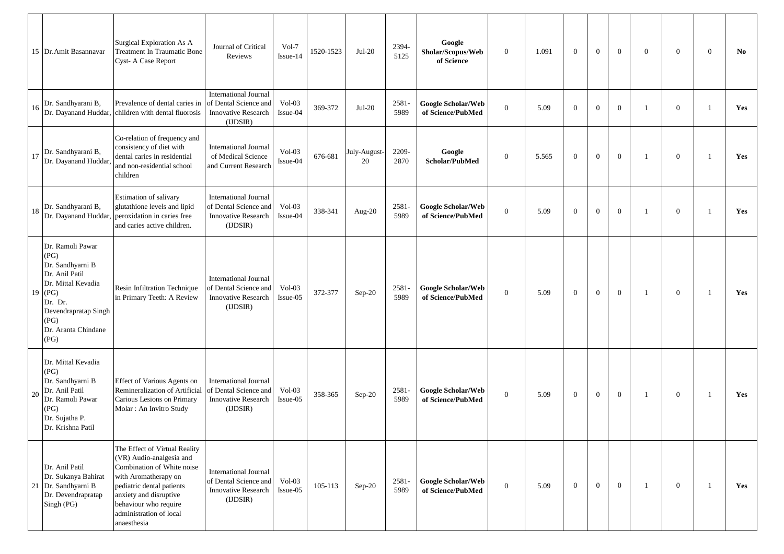|    | 15 Dr.Amit Basannavar                                                                                                                                                  | Surgical Exploration As A<br>Treatment In Traumatic Bone<br>Cyst- A Case Report                                                                                                                                                           | Journal of Critical<br>Reviews                                                                 | Vol-7<br>Issue-14    | 1520-1523 | $Jul-20$           | 2394<br>5125     | Google<br>Sholar/Scopus/Web<br>of Science      | $\mathbf{0}$     | 1.091 | $\overline{0}$ | $\overline{0}$ | $\theta$       | $\overline{0}$ | $\mathbf{0}$   | $\overline{0}$ | No. |
|----|------------------------------------------------------------------------------------------------------------------------------------------------------------------------|-------------------------------------------------------------------------------------------------------------------------------------------------------------------------------------------------------------------------------------------|------------------------------------------------------------------------------------------------|----------------------|-----------|--------------------|------------------|------------------------------------------------|------------------|-------|----------------|----------------|----------------|----------------|----------------|----------------|-----|
| 16 | Dr. Sandhyarani B,                                                                                                                                                     | Prevalence of dental caries in<br>Dr. Dayanand Huddar, children with dental fluorosis                                                                                                                                                     | <b>International Journal</b><br>of Dental Science and<br>Innovative Research<br>(IDSIR)        | $Vol-03$<br>Issue-04 | 369-372   | $Jul-20$           | 2581<br>5989     | Google Scholar/Web<br>of Science/PubMed        | $\mathbf{0}$     | 5.09  | $\overline{0}$ | $\mathbf{0}$   | $\overline{0}$ | $\overline{1}$ | $\mathbf{0}$   | $\overline{1}$ | Yes |
| 17 | Dr. Sandhyarani B,<br>Dr. Dayanand Huddar                                                                                                                              | Co-relation of frequency and<br>consistency of diet with<br>dental caries in residential<br>and non-residential school<br>children                                                                                                        | <b>International Journal</b><br>of Medical Science<br>and Current Research                     | $Vol-03$<br>Issue-04 | 676-681   | July-August-<br>20 | 2209-<br>2870    | Google<br>Scholar/PubMed                       | $\mathbf{0}$     | 5.565 | $\overline{0}$ | $\mathbf{0}$   | $\theta$       | $\overline{1}$ | $\mathbf{0}$   | $\overline{1}$ | Yes |
| 18 | Dr. Sandhyarani B,                                                                                                                                                     | Estimation of salivary<br>glutathione levels and lipid<br>Dr. Dayanand Huddar, peroxidation in caries free<br>and caries active children.                                                                                                 | <b>International Journal</b><br>of Dental Science and<br>Innovative Research<br>(IDSIR)        | $Vol-03$<br>Issue-04 | 338-341   | Aug-20             | 2581<br>5989     | <b>Google Scholar/Web</b><br>of Science/PubMed | $\mathbf{0}$     | 5.09  | $\overline{0}$ | $\mathbf{0}$   | $\overline{0}$ | - 1            | $\mathbf{0}$   | - 1            | Yes |
| 19 | Dr. Ramoli Pawar<br>(PG)<br>Dr. Sandhyarni B<br>Dr. Anil Patil<br>Dr. Mittal Kevadia<br>(PG)<br>Dr. Dr.<br>Devendrapratap Singh<br>(PG)<br>Dr. Aranta Chindane<br>(PG) | Resin Infiltration Technique<br>in Primary Teeth: A Review                                                                                                                                                                                | <b>International Journal</b><br>of Dental Science and<br><b>Innovative Research</b><br>(IDSIR) | $Vol-03$<br>Issue-05 | 372-377   | Sep-20             | $2581 -$<br>5989 | <b>Google Scholar/Web</b><br>of Science/PubMed | $\boldsymbol{0}$ | 5.09  | $\overline{0}$ | $\mathbf{0}$   | $\overline{0}$ | - 1            | $\overline{0}$ | - 1            | Yes |
| 20 | Dr. Mittal Kevadia<br>(PG)<br>Dr. Sandhyarni B<br>Dr. Anil Patil<br>Dr. Ramoli Pawar<br>(PG)<br>Dr. Sujatha P.<br>Dr. Krishna Patil                                    | Effect of Various Agents on<br>Remineralization of Artificial<br>Carious Lesions on Primary<br>Molar: An Invitro Study                                                                                                                    | <b>International Journal</b><br>of Dental Science and<br><b>Innovative Research</b><br>(IDSIR) | $Vol-03$<br>Issue-05 | 358-365   | Sep-20             | 2581-<br>5989    | <b>Google Scholar/Web</b><br>of Science/PubMed | $\boldsymbol{0}$ | 5.09  | $\overline{0}$ | $\mathbf{0}$   | $\overline{0}$ | - 1            | $\overline{0}$ | - 1            | Yes |
|    | Dr. Anil Patil<br>Dr. Sukanya Bahirat<br>21 Dr. Sandhyarni B<br>Dr. Devendrapratap<br>Singh (PG)                                                                       | The Effect of Virtual Reality<br>(VR) Audio-analgesia and<br>Combination of White noise<br>with Aromatherapy on<br>pediatric dental patients<br>anxiety and disruptive<br>behaviour who require<br>administration of local<br>anaesthesia | <b>International Journal</b><br>of Dental Science and<br><b>Innovative Research</b><br>(UDSIR) | $Vol-03$<br>Issue-05 | 105-113   | $Sep-20$           | 2581-<br>5989    | <b>Google Scholar/Web</b><br>of Science/PubMed | $\overline{0}$   | 5.09  | $\overline{0}$ | $\mathbf{0}$   | $\overline{0}$ | $\overline{1}$ | $\mathbf{0}$   | -1             | Yes |